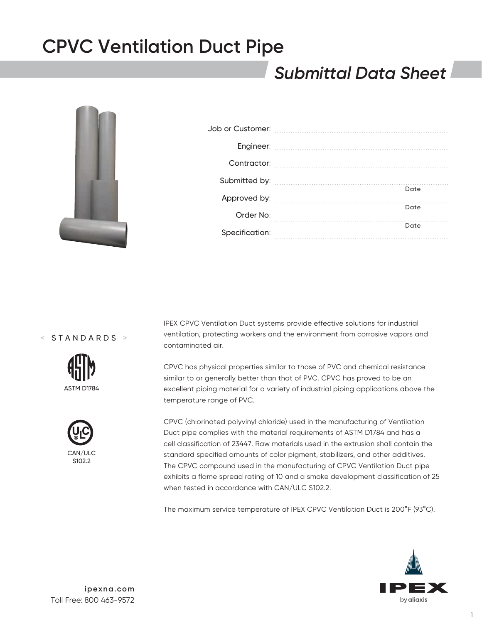### *Submittal Data Sheet*



| Contractor:    |      |
|----------------|------|
|                | Date |
| Approved by:   |      |
| Order No:      | Date |
| Specification: | Date |

< STANDARDS >





IPEX CPVC Ventilation Duct systems provide effective solutions for industrial ventilation, protecting workers and the environment from corrosive vapors and contaminated air.

CPVC has physical properties similar to those of PVC and chemical resistance similar to or generally better than that of PVC. CPVC has proved to be an excellent piping material for a variety of industrial piping applications above the temperature range of PVC.

CPVC (chlorinated polyvinyl chloride) used in the manufacturing of Ventilation Duct pipe complies with the material requirements of ASTM D1784 and has a cell classification of 23447. Raw materials used in the extrusion shall contain the standard specified amounts of color pigment, stabilizers, and other additives. The CPVC compound used in the manufacturing of CPVC Ventilation Duct pipe exhibits a flame spread rating of 10 and a smoke development classification of 25 when tested in accordance with CAN/ULC S102.2.

The maximum service temperature of IPEX CPVC Ventilation Duct is 200°F (93°C).

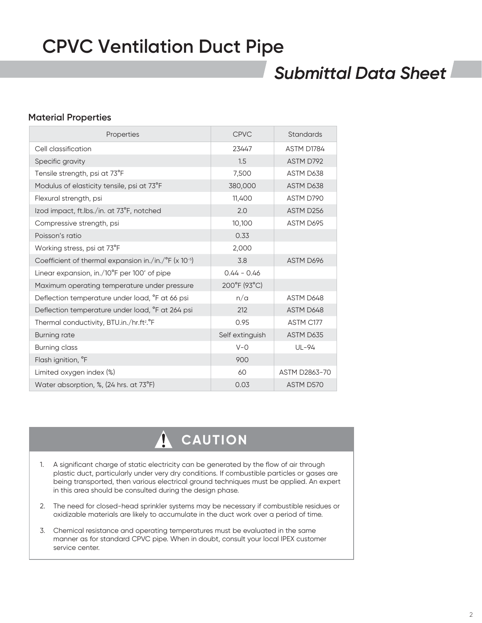### *Submittal Data Sheet*

### **Material Properties**

| Properties                                                                  | <b>CPVC</b>     | <b>Standards</b> |
|-----------------------------------------------------------------------------|-----------------|------------------|
| Cell classification                                                         | 23447           | ASTM D1784       |
| Specific gravity                                                            | 1.5             | ASTM D792        |
| Tensile strength, psi at 73°F                                               | 7,500           | ASTM D638        |
| Modulus of elasticity tensile, psi at 73°F                                  | 380,000         | ASTM D638        |
| Flexural strength, psi                                                      | 11,400          | ASTM D790        |
| Izod impact, ft.lbs./in. at 73°F, notched                                   | 2.0             | ASTM D256        |
| Compressive strength, psi                                                   | 10,100          | ASTM D695        |
| Poisson's ratio                                                             | 0.33            |                  |
| Working stress, psi at 73°F                                                 | 2,000           |                  |
| Coefficient of thermal expansion in./in./ $\degree$ F (x 10 <sup>-5</sup> ) | 3.8             | ASTM D696        |
| Linear expansion, in./10°F per 100' of pipe                                 | $0.44 - 0.46$   |                  |
| Maximum operating temperature under pressure                                | 200°F (93°C)    |                  |
| Deflection temperature under load, °F at 66 psi                             | n/a             | ASTM D648        |
| Deflection temperature under load, °F at 264 psi                            | 212             | ASTM D648        |
| Thermal conductivity, BTU.in./hr.ft <sup>2</sup> .°F                        | 0.95            | ASTM C177        |
| <b>Burning rate</b>                                                         | Self extinguish | ASTM D635        |
| <b>Burning class</b>                                                        | $V - Q$         | UL-94            |
| Flash ignition, °F                                                          | 900             |                  |
| Limited oxygen index (%)                                                    | 60              | ASTM D2863-70    |
| Water absorption, %, (24 hrs. at 73°F)                                      | 0.03            | ASTM D570        |

### 4  **CAUTION**

- 1. A significant charge of static electricity can be generated by the flow of air through plastic duct, particularly under very dry conditions. If combustible particles or gases are being transported, then various electrical ground techniques must be applied. An expert in this area should be consulted during the design phase.
- 2. The need for closed-head sprinkler systems may be necessary if combustible residues or oxidizable materials are likely to accumulate in the duct work over a period of time.
- 3. Chemical resistance and operating temperatures must be evaluated in the same manner as for standard CPVC pipe. When in doubt, consult your local IPEX customer service center.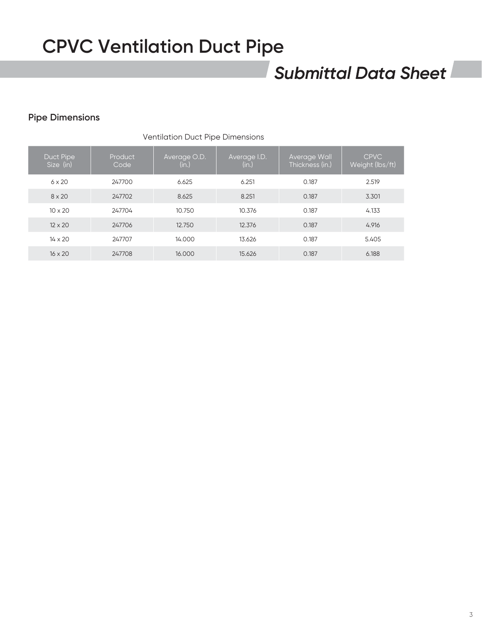### *Submittal Data Sheet*

### **Pipe Dimensions**

| <b>Ventilation Duct Pipe Dimensions</b> |                 |                       |                       |                                 |                                |  |
|-----------------------------------------|-----------------|-----------------------|-----------------------|---------------------------------|--------------------------------|--|
| Duct Pipe<br>Size (in)                  | Product<br>Code | Average O.D.<br>(in.) | Average I.D.<br>(in.) | Average Wall<br>Thickness (in.) | <b>CPVC</b><br>Weight (lbs/ft) |  |
| $6 \times 20$                           | 247700          | 6.625                 | 6.251                 | 0.187                           | 2.519                          |  |
| $8 \times 20$                           | 247702          | 8.625                 | 8.251                 | 0.187                           | 3.301                          |  |
| $10 \times 20$                          | 247704          | 10.750                | 10.376                | 0.187                           | 4.133                          |  |
| $12 \times 20$                          | 247706          | 12.750                | 12.376                | 0.187                           | 4.916                          |  |
| $14 \times 20$                          | 247707          | 14.000                | 13.626                | 0.187                           | 5.405                          |  |
| $16 \times 20$                          | 247708          | 16,000                | 15.626                | 0.187                           | 6.188                          |  |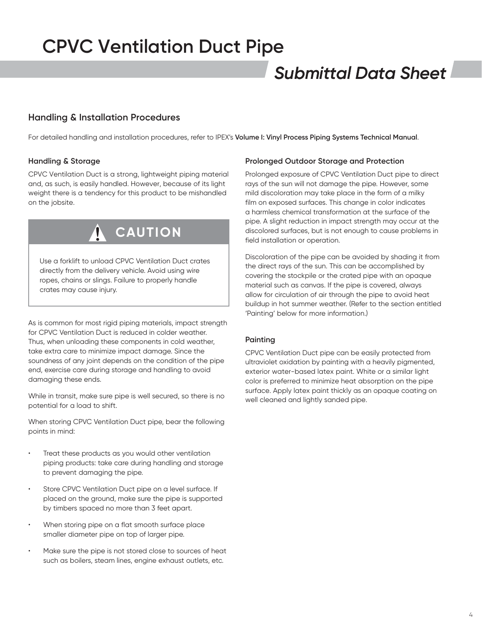### *Submittal Data Sheet*

### **Handling & Installation Procedures**

For detailed handling and installation procedures, refer to IPEX's **Volume I: Vinyl Process Piping Systems Technical Manual**.

### **Handling & Storage**

CPVC Ventilation Duct is a strong, lightweight piping material and, as such, is easily handled. However, because of its light weight there is a tendency for this product to be mishandled on the jobsite.



Use a forklift to unload CPVC Ventilation Duct crates directly from the delivery vehicle. Avoid using wire ropes, chains or slings. Failure to properly handle crates may cause injury.

As is common for most rigid piping materials, impact strength for CPVC Ventilation Duct is reduced in colder weather. Thus, when unloading these components in cold weather, take extra care to minimize impact damage. Since the soundness of any joint depends on the condition of the pipe end, exercise care during storage and handling to avoid damaging these ends.

While in transit, make sure pipe is well secured, so there is no potential for a load to shift.

When storing CPVC Ventilation Duct pipe, bear the following points in mind:

- Treat these products as you would other ventilation piping products: take care during handling and storage to prevent damaging the pipe.
- Store CPVC Ventilation Duct pipe on a level surface. If placed on the ground, make sure the pipe is supported by timbers spaced no more than 3 feet apart.
- When storing pipe on a flat smooth surface place smaller diameter pipe on top of larger pipe.
- Make sure the pipe is not stored close to sources of heat such as boilers, steam lines, engine exhaust outlets, etc.

### **Prolonged Outdoor Storage and Protection**

Prolonged exposure of CPVC Ventilation Duct pipe to direct rays of the sun will not damage the pipe. However, some mild discoloration may take place in the form of a milky film on exposed surfaces. This change in color indicates a harmless chemical transformation at the surface of the pipe. A slight reduction in impact strength may occur at the discolored surfaces, but is not enough to cause problems in field installation or operation.

Discoloration of the pipe can be avoided by shading it from the direct rays of the sun. This can be accomplished by covering the stockpile or the crated pipe with an opaque material such as canvas. If the pipe is covered, always allow for circulation of air through the pipe to avoid heat buildup in hot summer weather. (Refer to the section entitled 'Painting' below for more information.)

### **Painting**

CPVC Ventilation Duct pipe can be easily protected from ultraviolet oxidation by painting with a heavily pigmented, exterior water-based latex paint. White or a similar light color is preferred to minimize heat absorption on the pipe surface. Apply latex paint thickly as an opaque coating on well cleaned and lightly sanded pipe.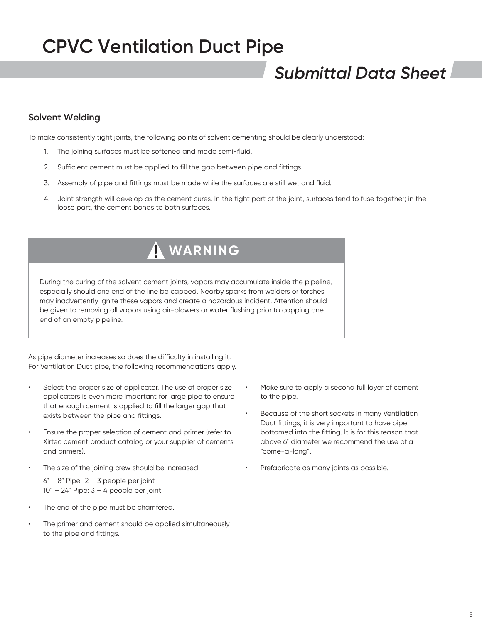### *Submittal Data Sheet*

### **Solvent Welding**

To make consistently tight joints, the following points of solvent cementing should be clearly understood:

- 1. The joining surfaces must be softened and made semi-fluid.
- 2. Sufficient cement must be applied to fill the gap between pipe and fittings.
- 3. Assembly of pipe and fittings must be made while the surfaces are still wet and fluid.
- 4. Joint strength will develop as the cement cures. In the tight part of the joint, surfaces tend to fuse together; in the loose part, the cement bonds to both surfaces.

### **WARNING**

During the curing of the solvent cement joints, vapors may accumulate inside the pipeline, especially should one end of the line be capped. Nearby sparks from welders or torches may inadvertently ignite these vapors and create a hazardous incident. Attention should be given to removing all vapors using air-blowers or water flushing prior to capping one end of an empty pipeline.

As pipe diameter increases so does the difficulty in installing it. For Ventilation Duct pipe, the following recommendations apply.

- Select the proper size of applicator. The use of proper size applicators is even more important for large pipe to ensure that enough cement is applied to fill the larger gap that exists between the pipe and fittings.
- Ensure the proper selection of cement and primer (refer to Xirtec cement product catalog or your supplier of cements and primers).
- The size of the joining crew should be increased

 $6" - 8"$  Pipe:  $2 - 3$  people per joint  $10" - 24"$  Pipe:  $3 - 4$  people per joint

- The end of the pipe must be chamfered.
- The primer and cement should be applied simultaneously to the pipe and fittings.
- Make sure to apply a second full layer of cement to the pipe.
- Because of the short sockets in many Ventilation Duct fittings, it is very important to have pipe bottomed into the fitting. It is for this reason that above 6" diameter we recommend the use of a "come-a-long".
- Prefabricate as many joints as possible.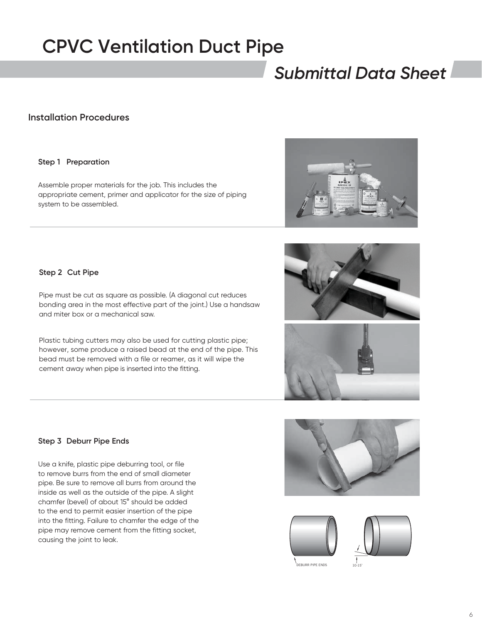### *Submittal Data Sheet*

### **Installation Procedures**

#### **Step 1 Preparation**

Assemble proper materials for the job. This includes the appropriate cement, primer and applicator for the size of piping system to be assembled.



**Step 2 Cut Pipe**

Pipe must be cut as square as possible. (A diagonal cut reduces bonding area in the most effective part of the joint.) Use a handsaw and miter box or a mechanical saw.

Plastic tubing cutters may also be used for cutting plastic pipe; however, some produce a raised bead at the end of the pipe. This bead must be removed with a file or reamer, as it will wipe the cement away when pipe is inserted into the fitting.





10-15˚





#### **EBURR PIPE ENDS**

**Step 3 Deburr Pipe Ends**

Use a knife, plastic pipe deburring tool, or file to remove burrs from the end of small diameter pipe. Be sure to remove all burrs from around the inside as well as the outside of the pipe. A slight chamfer (bevel) of about 15° should be added to the end to permit easier insertion of the pipe into the fitting. Failure to chamfer the edge of the pipe may remove cement from the fitting socket, causing the joint to leak.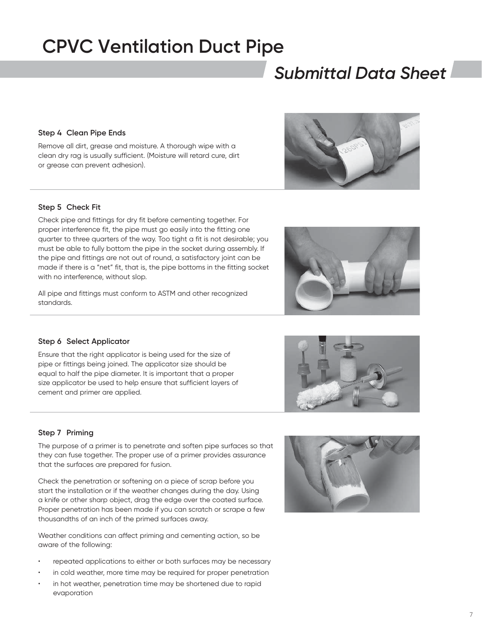### *Submittal Data Sheet*

**Step 4 Clean Pipe Ends**

Remove all dirt, grease and moisture. A thorough wipe with a clean dry rag is usually sufficient. (Moisture will retard cure, dirt or grease can prevent adhesion).

#### **Step 5 Check Fit**

Check pipe and fittings for dry fit before cementing together. For proper interference fit, the pipe must go easily into the fitting one quarter to three quarters of the way. Too tight a fit is not desirable; you must be able to fully bottom the pipe in the socket during assembly. If the pipe and fittings are not out of round, a satisfactory joint can be made if there is a "net" fit, that is, the pipe bottoms in the fitting socket with no interference, without slop.

All pipe and fittings must conform to ASTM and other recognized standards.

#### **Step 6 Select Applicator**

Ensure that the right applicator is being used for the size of pipe or fittings being joined. The applicator size should be equal to half the pipe diameter. It is important that a proper size applicator be used to help ensure that sufficient layers of cement and primer are applied.

#### **Step 7 Priming**

The purpose of a primer is to penetrate and soften pipe surfaces so that they can fuse together. The proper use of a primer provides assurance that the surfaces are prepared for fusion.

Check the penetration or softening on a piece of scrap before you start the installation or if the weather changes during the day. Using a knife or other sharp object, drag the edge over the coated surface. Proper penetration has been made if you can scratch or scrape a few thousandths of an inch of the primed surfaces away.

Weather conditions can affect priming and cementing action, so be aware of the following:

- repeated applications to either or both surfaces may be necessary
- in cold weather, more time may be required for proper penetration
- in hot weather, penetration time may be shortened due to rapid evaporation









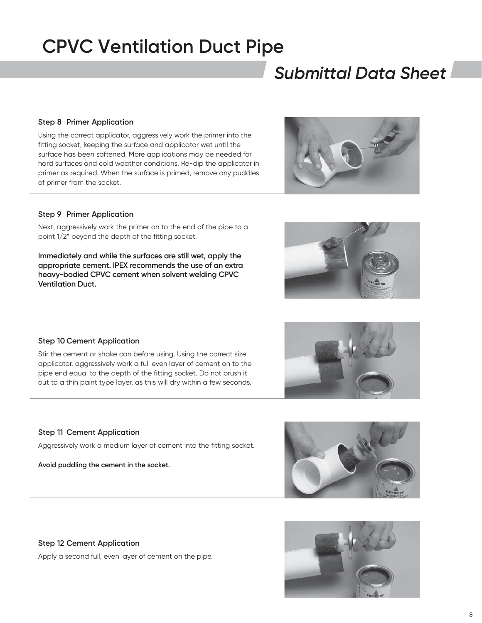# *Submittal Data Sheet*

### **Step 8 Primer Application**

Using the correct applicator, aggressively work the primer into the fitting socket, keeping the surface and applicator wet until the surface has been softened. More applications may be needed for hard surfaces and cold weather conditions. Re-dip the applicator in primer as required. When the surface is primed, remove any puddles of primer from the socket.

### **Step 9 Primer Application**

Next, aggressively work the primer on to the end of the pipe to a point 1/2" beyond the depth of the fitting socket.

**Immediately and while the surfaces are still wet, apply the appropriate cement. IPEX recommends the use of an extra heavy-bodied CPVC cement when solvent welding CPVC Ventilation Duct.**

### **Step 10 Cement Application**

Stir the cement or shake can before using. Using the correct size applicator, aggressively work a full even layer of cement on to the pipe end equal to the depth of the fitting socket. Do not brush it out to a thin paint type layer, as this will dry within a few seconds.

### **Step 11 Cement Application**

Aggressively work a medium layer of cement into the fitting socket.

**Avoid puddling the cement in the socket.**

### **Step 12 Cement Application**

Apply a second full, even layer of cement on the pipe.

![](_page_7_Picture_15.jpeg)

![](_page_7_Picture_16.jpeg)

![](_page_7_Picture_17.jpeg)

![](_page_7_Picture_18.jpeg)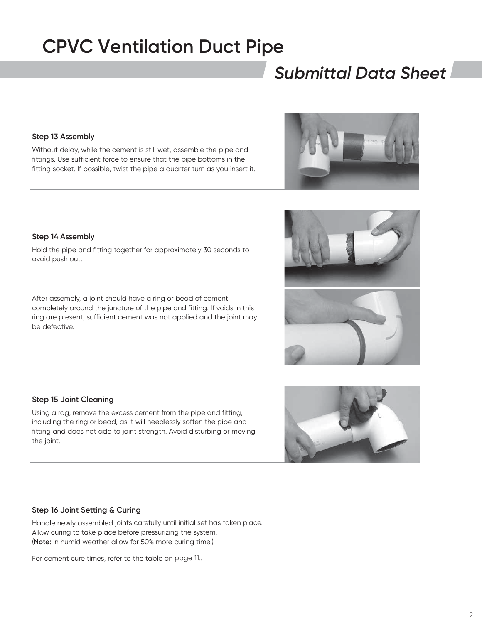# *Submittal Data Sheet*

### **Step 13 Assembly**

Without delay, while the cement is still wet, assemble the pipe and fittings. Use sufficient force to ensure that the pipe bottoms in the fitting socket. If possible, twist the pipe a quarter turn as you insert it.

#### **Step 14 Assembly**

Hold the pipe and fitting together for approximately 30 seconds to avoid push out.

After assembly, a joint should have a ring or bead of cement completely around the juncture of the pipe and fitting. If voids in this ring are present, sufficient cement was not applied and the joint may be defective.

#### **Step 15 Joint Cleaning**

Using a rag, remove the excess cement from the pipe and fitting, including the ring or bead, as it will needlessly soften the pipe and fitting and does not add to joint strength. Avoid disturbing or moving the joint.

#### **Step 16 Joint Setting & Curing**

Handle newly assembled joints carefully until initial set has taken place. Allow curing to take place before pressurizing the system. (**Note:** in humid weather allow for 50% more curing time.)

For cement cure times, refer to the table on page 11..

![](_page_8_Picture_12.jpeg)

![](_page_8_Picture_13.jpeg)

![](_page_8_Picture_14.jpeg)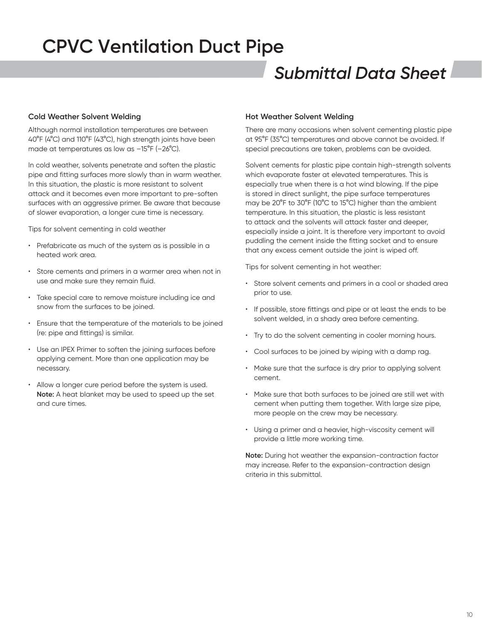### *Submittal Data Sheet*

#### **Cold Weather Solvent Welding**

Although normal installation temperatures are between 40°F (4°C) and 110°F (43°C), high strength joints have been made at temperatures as low as –15°F (–26°C).

In cold weather, solvents penetrate and soften the plastic pipe and fitting surfaces more slowly than in warm weather. In this situation, the plastic is more resistant to solvent attack and it becomes even more important to pre-soften surfaces with an aggressive primer. Be aware that because of slower evaporation, a longer cure time is necessary.

Tips for solvent cementing in cold weather

- Prefabricate as much of the system as is possible in a heated work area.
- Store cements and primers in a warmer area when not in use and make sure they remain fluid.
- Take special care to remove moisture including ice and snow from the surfaces to be joined.
- Ensure that the temperature of the materials to be joined (re: pipe and fittings) is similar.
- Use an IPEX Primer to soften the joining surfaces before applying cement. More than one application may be necessary.
- Allow a longer cure period before the system is used. **Note:** A heat blanket may be used to speed up the set and cure times.

#### **Hot Weather Solvent Welding**

There are many occasions when solvent cementing plastic pipe at 95°F (35°C) temperatures and above cannot be avoided. If special precautions are taken, problems can be avoided.

Solvent cements for plastic pipe contain high-strength solvents which evaporate faster at elevated temperatures. This is especially true when there is a hot wind blowing. If the pipe is stored in direct sunlight, the pipe surface temperatures may be 20°F to 30°F (10°C to 15°C) higher than the ambient temperature. In this situation, the plastic is less resistant to attack and the solvents will attack faster and deeper, especially inside a joint. It is therefore very important to avoid puddling the cement inside the fitting socket and to ensure that any excess cement outside the joint is wiped off.

Tips for solvent cementing in hot weather:

- Store solvent cements and primers in a cool or shaded area prior to use.
- If possible, store fittings and pipe or at least the ends to be solvent welded, in a shady area before cementing.
- Try to do the solvent cementing in cooler morning hours.
- Cool surfaces to be joined by wiping with a damp rag.
- Make sure that the surface is dry prior to applying solvent cement.
- Make sure that both surfaces to be joined are still wet with cement when putting them together. With large size pipe, more people on the crew may be necessary.
- Using a primer and a heavier, high-viscosity cement will provide a little more working time.

**Note:** During hot weather the expansion-contraction factor may increase. Refer to the expansion-contraction design criteria in this submittal.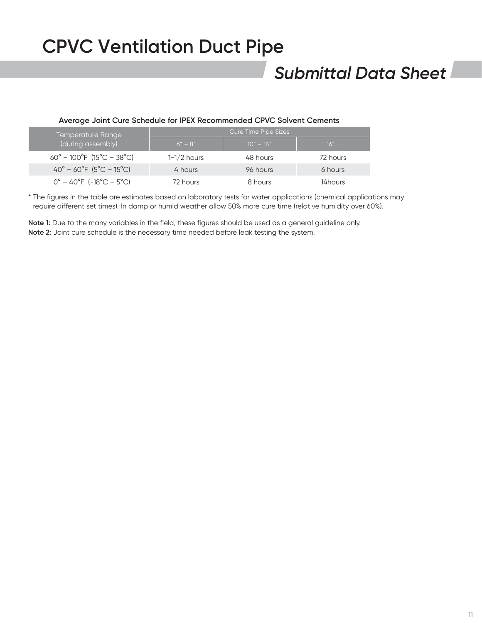### *Submittal Data Sheet*

#### **Average Joint Cure Schedule for IPEX Recommended CPVC Solvent Cements**

| Temperature Range '                                   | Cure Time Pipe Sizes |             |          |  |
|-------------------------------------------------------|----------------------|-------------|----------|--|
| (during assembly)                                     | $6" - 8"$            | $10" - 14"$ | $16" +$  |  |
| $60^{\circ} - 100^{\circ}$ F (15°C – 38°C)            | $1-1/2$ hours        | 48 hours    | 72 hours |  |
| $40^{\circ} - 60^{\circ}F (5^{\circ}C - 15^{\circ}C)$ | 4 hours              | 96 hours    | 6 hours  |  |
| $0^{\circ}$ – 40°F (-18°C – 5°C)                      | 72 hours             | 8 hours     | 14 hours |  |

\* The figures in the table are estimates based on laboratory tests for water applications (chemical applications may require different set times). In damp or humid weather allow 50% more cure time (relative humidity over 60%).

**Note 1:** Due to the many variables in the field, these figures should be used as a general guideline only. **Note 2:** Joint cure schedule is the necessary time needed before leak testing the system.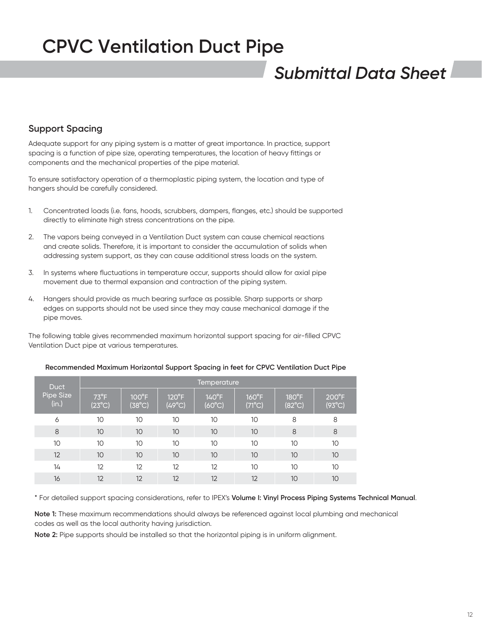### *Submittal Data Sheet*

### **Support Spacing**

Adequate support for any piping system is a matter of great importance. In practice, support spacing is a function of pipe size, operating temperatures, the location of heavy fittings or components and the mechanical properties of the pipe material.

To ensure satisfactory operation of a thermoplastic piping system, the location and type of hangers should be carefully considered.

- 1. Concentrated loads (i.e. fans, hoods, scrubbers, dampers, flanges, etc.) should be supported directly to eliminate high stress concentrations on the pipe.
- 2. The vapors being conveyed in a Ventilation Duct system can cause chemical reactions and create solids. Therefore, it is important to consider the accumulation of solids when addressing system support, as they can cause additional stress loads on the system.
- 3. In systems where fluctuations in temperature occur, supports should allow for axial pipe movement due to thermal expansion and contraction of the piping system.
- 4. Hangers should provide as much bearing surface as possible. Sharp supports or sharp edges on supports should not be used since they may cause mechanical damage if the pipe moves.

The following table gives recommended maximum horizontal support spacing for air-filled CPVC Ventilation Duct pipe at various temperatures.

| <b>Duct</b><br>Pipe Size<br>(in.) | Temperature                      |                                    |                                   |                                   |                                   |                                    |                                   |
|-----------------------------------|----------------------------------|------------------------------------|-----------------------------------|-----------------------------------|-----------------------------------|------------------------------------|-----------------------------------|
|                                   | $73^{\circ}F$<br>$(23^{\circ}C)$ | $100^{\circ}$ F<br>$(38^{\circ}C)$ | $120^{\circ}F$<br>$(49^{\circ}C)$ | $140^{\circ}F$<br>$(60^{\circ}C)$ | $160^{\circ}F$<br>$(71^{\circ}C)$ | $180^{\circ}$ F<br>$(82^{\circ}C)$ | $200^{\circ}F$<br>$(93^{\circ}C)$ |
| 6                                 | 10                               | 10                                 | 10                                | 10                                | 10                                | 8                                  | 8                                 |
| 8                                 | 10                               | 10                                 | 10                                | 10                                | 10 <sup>10</sup>                  | 8                                  | 8                                 |
| 10 <sup>°</sup>                   | 10                               | 10                                 | 10                                | 10                                | 10                                | 10                                 | 10                                |
| 12                                | 10                               | 10                                 | 10                                | 10                                | 10 <sup>°</sup>                   | 10                                 | 10                                |
| 14                                | 12                               | 12                                 | 12                                | 12                                | 10                                | 10                                 | 10                                |
| 16                                | 12                               | 12                                 | 12                                | 12                                | 12                                | 10                                 | 10                                |

#### **Recommended Maximum Horizontal Support Spacing in feet for CPVC Ventilation Duct Pipe**

\* For detailed support spacing considerations, refer to IPEX's **Volume I: Vinyl Process Piping Systems Technical Manual**.

**Note 1:** These maximum recommendations should always be referenced against local plumbing and mechanical codes as well as the local authority having jurisdiction.

**Note 2:** Pipe supports should be installed so that the horizontal piping is in uniform alignment.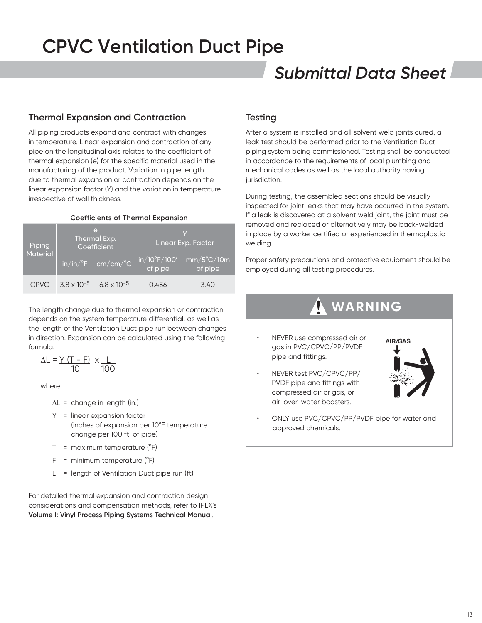### *Submittal Data Sheet*

### **Thermal Expansion and Contraction**

All piping products expand and contract with changes in temperature. Linear expansion and contraction of any pipe on the longitudinal axis relates to the coefficient of thermal expansion (e) for the specific material used in the manufacturing of the product. Variation in pipe length due to thermal expansion or contraction depends on the linear expansion factor (Y) and the variation in temperature irrespective of wall thickness.

#### **Coefficients of Thermal Expansion**

| Piping<br>Material |                      | $\triangleright$<br>Thermal Exp.<br>Coefficient      | Linear Exp. Factor               |                                |  |
|--------------------|----------------------|------------------------------------------------------|----------------------------------|--------------------------------|--|
|                    |                      | $\sin/$ in/ $\degree$ F $\,$ cm/cm/ $\degree$ C $\,$ | $in/10^{\circ}F/100'$<br>of pipe | $mm/5^{\circ}C/10m$<br>of pipe |  |
| CPVC               | $3.8 \times 10^{-5}$ | $6.8 \times 10^{-5}$                                 | 0.456                            | 3.40                           |  |

The length change due to thermal expansion or contraction depends on the system temperature differential, as well as the length of the Ventilation Duct pipe run between changes in direction. Expansion can be calculated using the following formula:

$$
\Delta L = \frac{Y (T - F)}{10} \times \frac{L}{100}
$$

where:

- $\Delta L$  = change in length (in.)
- Y = linear expansion factor (inches of expansion per 10°F temperature change per 100 ft. of pipe)
- $T =$  maximum temperature ( ${}^{\circ}F$ )
- $F =$  minimum temperature ( $^{\circ}F$ )
- $L =$  length of Ventilation Duct pipe run (ft)

For detailed thermal expansion and contraction design considerations and compensation methods, refer to IPEX's **Volume I: Vinyl Process Piping Systems Technical Manual**.

### **Testing**

After a system is installed and all solvent weld joints cured, a leak test should be performed prior to the Ventilation Duct piping system being commissioned. Testing shall be conducted in accordance to the requirements of local plumbing and mechanical codes as well as the local authority having jurisdiction.

During testing, the assembled sections should be visually inspected for joint leaks that may have occurred in the system. If a leak is discovered at a solvent weld joint, the joint must be removed and replaced or alternatively may be back-welded in place by a worker certified or experienced in thermoplastic welding.

Proper safety precautions and protective equipment should be employed during all testing procedures.

### **WARNING**

- NEVER use compressed air or gas in PVC/CPVC/PP/PVDF pipe and fittings.
- NEVER test PVC/CPVC/PP/ PVDF pipe and fittings with compressed air or gas, or air-over-water boosters.

![](_page_12_Picture_22.jpeg)

• ONLY use PVC/CPVC/PP/PVDF pipe for water and approved chemicals.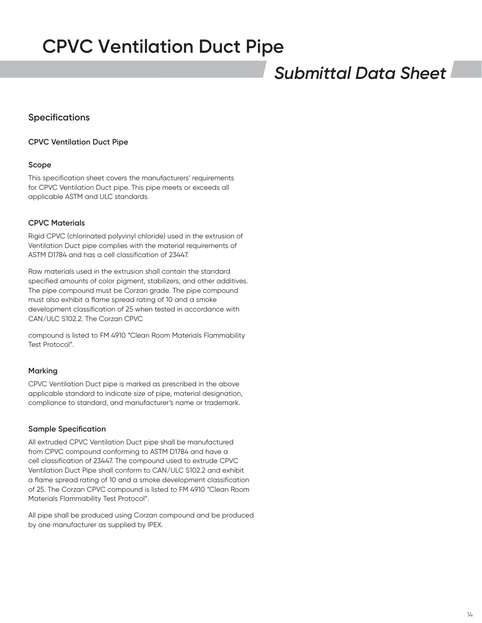### *Submittal Data Sheet*

### **Specifications**

### **CPVC Ventilation Duct Pipe**

#### **Scope**

This specification sheet covers the manufacturers' requirements for CPVC Ventilation Duct pipe. This pipe meets or exceeds all applicable ASTM and ULC standards.

### **CPVC Materials**

Rigid CPVC (chlorinated polyvinyl chloride) used in the extrusion of Ventilation Duct pipe complies with the material requirements of ASTM D1784 and has a cell classification of 23447.

Raw materials used in the extrusion shall contain the standard specified amounts of color pigment, stabilizers, and other additives. The pipe compound must be Corzan grade. The pipe compound must also exhibit a flame spread rating of 10 and a smoke development classification of 25 when tested in accordance with CAN/ULC S102.2. The Corzan CPVC

compound is listed to FM 4910 "Clean Room Materials Flammability Test Protocol".

#### **Marking**

CPVC Ventilation Duct pipe is marked as prescribed in the above applicable standard to indicate size of pipe, material designation, compliance to standard, and manufacturer's name or trademark.

#### **Sample Specification**

All extruded CPVC Ventilation Duct pipe shall be manufactured from CPVC compound conforming to ASTM D1784 and have a cell classification of 23447. The compound used to extrude CPVC Ventilation Duct Pipe shall conform to CAN/ULC S102.2 and exhibit a flame spread rating of 10 and a smoke development classification of 25. The Corzan CPVC compound is listed to FM 4910 "Clean Room Materials Flammability Test Protocol".

All pipe shall be produced using Corzan compound and be produced by one manufacturer as supplied by IPEX.